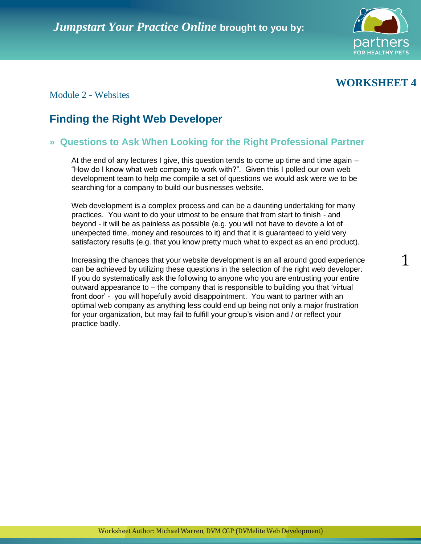

# **WORKSHEET 4**

1

## Module 2 - Websites

# **Finding the Right Web Developer**

## **» Questions to Ask When Looking for the Right Professional Partner**

At the end of any lectures I give, this question tends to come up time and time again – "How do I know what web company to work with?". Given this I polled our own web development team to help me compile a set of questions we would ask were we to be searching for a company to build our businesses website.

Web development is a complex process and can be a daunting undertaking for many practices. You want to do your utmost to be ensure that from start to finish - and beyond - it will be as painless as possible (e.g. you will not have to devote a lot of unexpected time, money and resources to it) and that it is guaranteed to yield very satisfactory results (e.g. that you know pretty much what to expect as an end product).

Increasing the chances that your website development is an all around good experience can be achieved by utilizing these questions in the selection of the right web developer. If you do systematically ask the following to anyone who you are entrusting your entire outward appearance to – the company that is responsible to building you that "virtual front door" - you will hopefully avoid disappointment. You want to partner with an optimal web company as anything less could end up being not only a major frustration for your organization, but may fail to fulfill your group's vision and / or reflect your practice badly.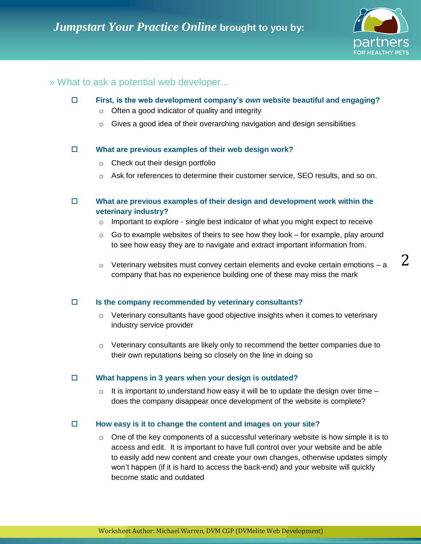

2

### » What to ask a potential web developer...

- **First, is the web development company's** *own* **website beautiful and engaging?**  $\circ$  Often a good indicator of quality and integrity
	- o Gives a good idea of their overarching navigation and design sensibilities

#### **What are previous examples of their web design work?**

- o Check out their design portfolio
- $\circ$  Ask for references to determine their customer service, SEO results, and so on.

### **What are previous examples of their design and development work within the veterinary industry?**

- $\circ$  Important to explore single best indicator of what you might expect to receive
- $\circ$  Go to example websites of theirs to see how they look for example, play around to see how easy they are to navigate and extract important information from.
- $\circ$  Veterinary websites must convey certain elements and evoke certain emotions a company that has no experience building one of these may miss the mark

#### **Is the company recommended by veterinary consultants?**

- $\circ$  Veterinary consultants have good objective insights when it comes to veterinary industry service provider
- $\circ$  Veterinary consultants are likely only to recommend the better companies due to their own reputations being so closely on the line in doing so

#### **What happens in 3 years when your design is outdated?**

 $\circ$  It is important to understand how easy it will be to update the design over time – does the company disappear once development of the website is complete?

#### **How easy is it to change the content and images on your site?**

 $\circ$  One of the key components of a successful veterinary website is how simple it is to access and edit. It is important to have full control over your website and be able to easily add new content and create your own changes, otherwise updates simply won"t happen (if it is hard to access the back-end) and your website will quickly become static and outdated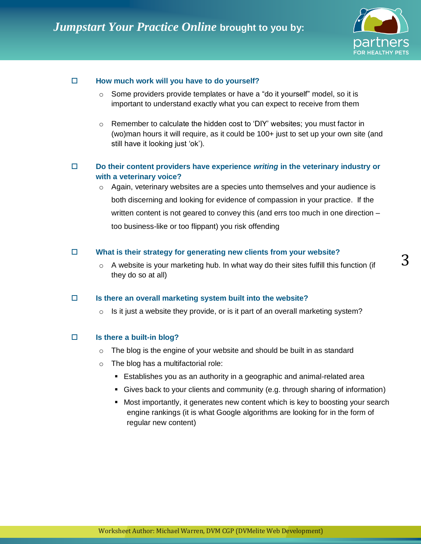

3

#### **How much work will you have to do yourself?**

- $\circ$  Some providers provide templates or have a "do it yourself" model, so it is important to understand exactly what you can expect to receive from them
- $\circ$  Remember to calculate the hidden cost to 'DIY' websites; you must factor in (wo)man hours it will require, as it could be 100+ just to set up your own site (and still have it looking just 'ok').

### **Do their content providers have experience** *writing* **in the veterinary industry or with a veterinary voice?**

 $\circ$  Again, veterinary websites are a species unto themselves and your audience is both discerning and looking for evidence of compassion in your practice. If the written content is not geared to convey this (and errs too much in one direction – too business-like or too flippant) you risk offending

#### **What is their strategy for generating new clients from your website?**

 $\circ$  A website is your marketing hub. In what way do their sites fulfill this function (if they do so at all)

#### **Is there an overall marketing system built into the website?**

 $\circ$  Is it just a website they provide, or is it part of an overall marketing system?

#### **Is there a built-in blog?**

- $\circ$  The blog is the engine of your website and should be built in as standard
- $\circ$  The blog has a multifactorial role:
	- Establishes you as an authority in a geographic and animal-related area
	- Gives back to your clients and community (e.g. through sharing of information)
	- Most importantly, it generates new content which is key to boosting your search engine rankings (it is what Google algorithms are looking for in the form of regular new content)